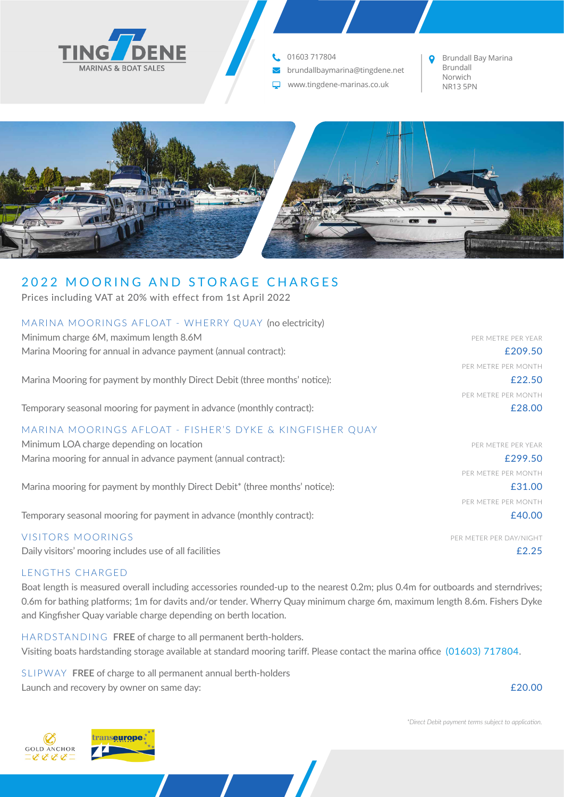

## 01603 717804

 $\blacktriangledown$ brundallbaymarina@tingdene.net

www.tingdene-marinas.co.uk  $\Box$ 

Brundall Bay Marina Brundall Norwich<br>NR13 5PN



# 2022 MOORING AND STORAGE CHARGES

Prices including VAT at 20% with effect from 1st April 2022

| Minimum charge 6M, maximum length 8.6M                                      | PER METRE PER YEAR      |
|-----------------------------------------------------------------------------|-------------------------|
| Marina Mooring for annual in advance payment (annual contract):             | £209.50                 |
|                                                                             | PFR METRE PFR MONTH     |
| Marina Mooring for payment by monthly Direct Debit (three months' notice):  | £22.50                  |
|                                                                             | PER METRE PER MONTH     |
| Temporary seasonal mooring for payment in advance (monthly contract):       | £28.00                  |
| MARINA MOORINGS AFLOAT - FISHER'S DYKE & KINGFISHER QUAY                    |                         |
| Minimum LOA charge depending on location                                    | PER METRE PER YEAR      |
| Marina mooring for annual in advance payment (annual contract):             | £299.50                 |
|                                                                             | PER METRE PER MONTH     |
| Marina mooring for payment by monthly Direct Debit* (three months' notice): | £31.00                  |
|                                                                             | PER METRE PER MONTH     |
| Temporary seasonal mooring for payment in advance (monthly contract):       | £40.00                  |
| <b>VISITORS MOORINGS</b>                                                    | PER METER PER DAY/NIGHT |

Daily visitors' mooring includes use of all facilities **E2.25** 

### LENGTHS CHARGED

Boat length is measured overall including accessories rounded-up to the nearest 0.2m; plus 0.4m for outboards and sterndrives; 0.6m for bathing platforms; 1m for davits and/or tender. Wherry Quay minimum charge 6m, maximum length 8.6m. Fishers Dyke and Kingfisher Quay variable charge depending on berth location.

HARDSTANDING **FREE** of charge to all permanent berth-holders. Visiting boats hardstanding storage available at standard mooring tariff. Please contact the marina office (01603) 717804.

SLIPWAY **FREE** of charge to all permanent annual berth-holders Launch and recovery by owner on same day: **E20.00** Cause 3. The same state of the same state  $\epsilon$  20.00

*\*Direct Debit payment terms subject to application.*